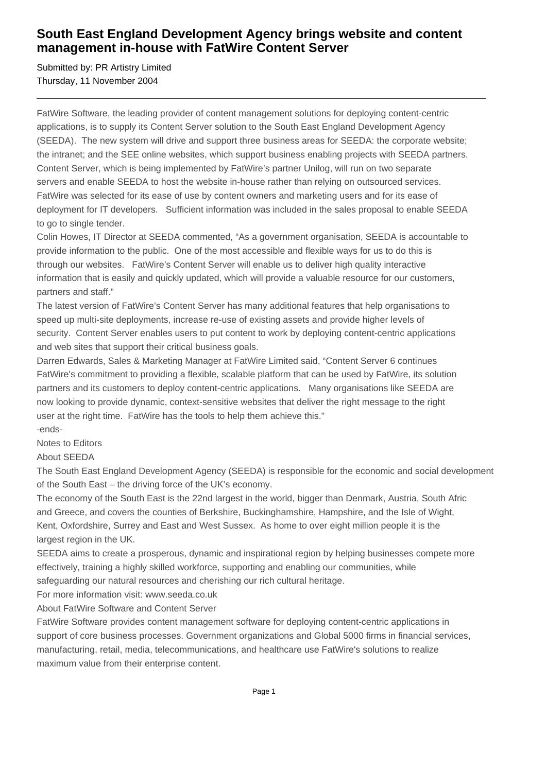## **South East England Development Agency brings website and content management in-house with FatWire Content Server**

Submitted by: PR Artistry Limited Thursday, 11 November 2004

FatWire Software, the leading provider of content management solutions for deploying content-centric applications, is to supply its Content Server solution to the South East England Development Agency (SEEDA). The new system will drive and support three business areas for SEEDA: the corporate website; the intranet; and the SEE online websites, which support business enabling projects with SEEDA partners. Content Server, which is being implemented by FatWire's partner Unilog, will run on two separate servers and enable SEEDA to host the website in-house rather than relying on outsourced services. FatWire was selected for its ease of use by content owners and marketing users and for its ease of deployment for IT developers. Sufficient information was included in the sales proposal to enable SEEDA to go to single tender.

Colin Howes, IT Director at SEEDA commented, "As a government organisation, SEEDA is accountable to provide information to the public. One of the most accessible and flexible ways for us to do this is through our websites. FatWire's Content Server will enable us to deliver high quality interactive information that is easily and quickly updated, which will provide a valuable resource for our customers, partners and staff."

The latest version of FatWire's Content Server has many additional features that help organisations to speed up multi-site deployments, increase re-use of existing assets and provide higher levels of security. Content Server enables users to put content to work by deploying content-centric applications and web sites that support their critical business goals.

Darren Edwards, Sales & Marketing Manager at FatWire Limited said, "Content Server 6 continues FatWire's commitment to providing a flexible, scalable platform that can be used by FatWire, its solution partners and its customers to deploy content-centric applications. Many organisations like SEEDA are now looking to provide dynamic, context-sensitive websites that deliver the right message to the right user at the right time. FatWire has the tools to help them achieve this."

-ends-

Notes to Editors

About SEEDA

The South East England Development Agency (SEEDA) is responsible for the economic and social development of the South East – the driving force of the UK's economy.

The economy of the South East is the 22nd largest in the world, bigger than Denmark, Austria, South Afric and Greece, and covers the counties of Berkshire, Buckinghamshire, Hampshire, and the Isle of Wight, Kent, Oxfordshire, Surrey and East and West Sussex. As home to over eight million people it is the largest region in the UK.

SEEDA aims to create a prosperous, dynamic and inspirational region by helping businesses compete more effectively, training a highly skilled workforce, supporting and enabling our communities, while safeguarding our natural resources and cherishing our rich cultural heritage.

For more information visit: www.seeda.co.uk

About FatWire Software and Content Server

FatWire Software provides content management software for deploying content-centric applications in support of core business processes. Government organizations and Global 5000 firms in financial services, manufacturing, retail, media, telecommunications, and healthcare use FatWire's solutions to realize maximum value from their enterprise content.